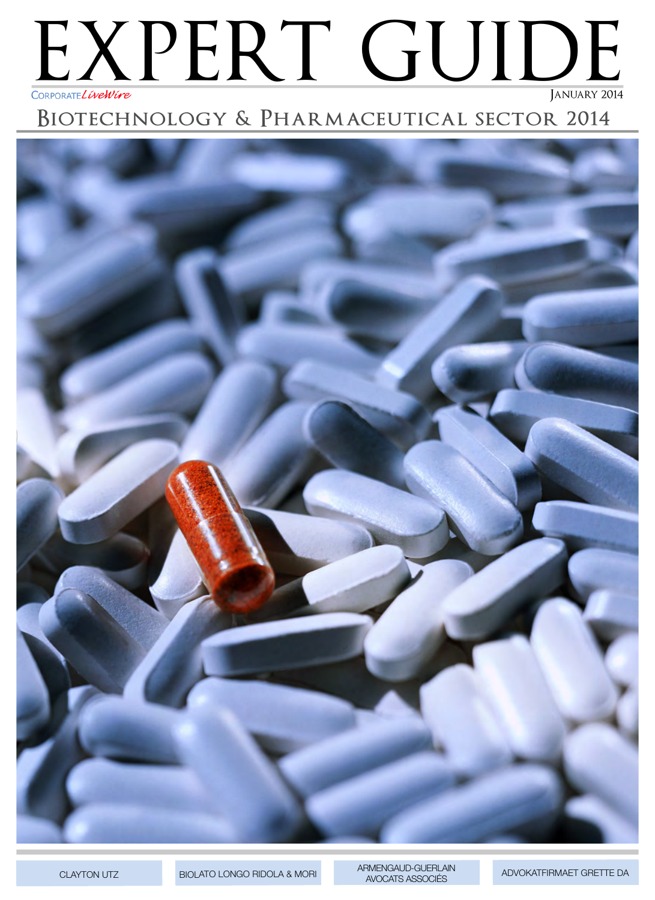## EXPERT GUIDE JANUARY 2014 CORPORATELIveWire

## BIOTECHNOLOGY & PHARMACEUTICAL SECTOR 2014



**CLAYTON UTZ** 

BIOLATO LONGO RIDOLA & MORI

ARMENGAUD-GUERLAIN AVOCATS ASSOCIÉS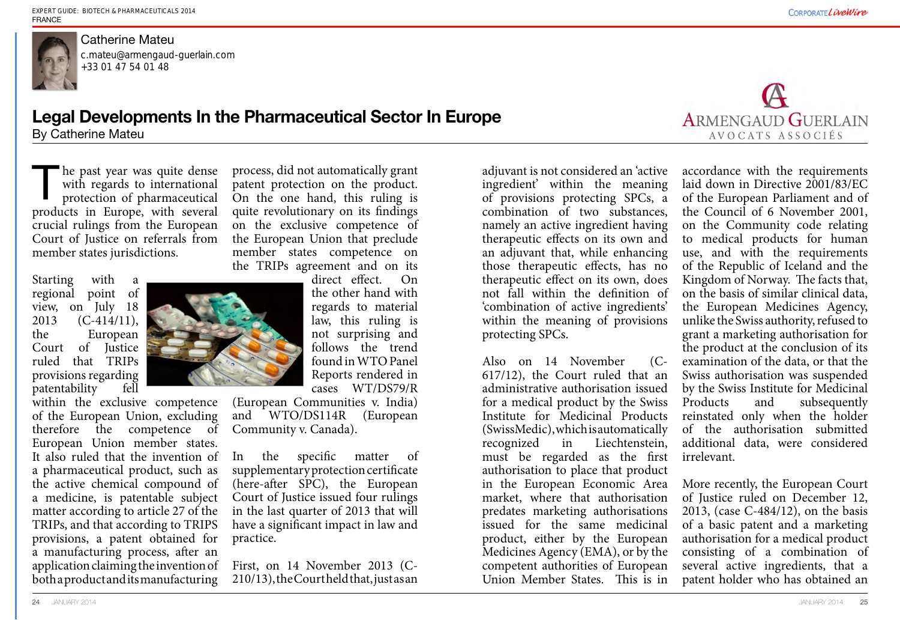he past year was quite dense with regards to international protection of pharmaceutical products in Europe, with several crucial rulings from the European Court of Justice on referrals from member states jurisdictions. The past year was quite dense process, did not automatically grant adjuvant is not considered an 'active with regards to international patent protection on the product.<br>
protection of pharmaceutical On the one hand, this r



## Catherine Mateu

Starting with a regional point of view, on July 18 2013 (C-414/11), the European Court of Justice ruled that TRIPs provisions regarding patentability fell



process, did not automatically grant patent protection on the product. On the one hand, this ruling is quite revolutionary on its findings on the exclusive competence of the European Union that preclude member states competence on the TRIPs agreement and on its

> direct effect. On the other hand with regards to material law, this ruling is not surprising and follows the trend found in WTO Panel Reports rendered in cases WT/DS79/R

(European Communities v. India) and WTO/DS114R (European Community v. Canada).

In the specific matter of supplementary protection certificate (here-after SPC), the European Court of Justice issued four rulings have a significant impact in law and practice.

First, on 14 November 2013 (C-210/13), the Court held that, just as an

ingredient' within the meaning of provisions protecting SPCs, a combination of two substances, namely an active ingredient having therapeutic effects on its own and an adjuvant that, while enhancing those therapeutic effects, has no therapeutic effect on its own, does not fall within the definition of 'combination of active ingredients' within the meaning of provisions protecting SPCs.

Also on 14 November (C-617/12), the Court ruled that an administrative authorisation issued for a medical product by the Swiss Institute for Medicinal Products (SwissMedic), which is automatically recognized in Liechtenstein, must be regarded as the first authorisation to place that product in the European Economic Area market, where that authorisation predates marketing authorisations issued for the same medicinal product, either by the European Medicines Agency (EMA), or by the competent authorities of European Union Member States. This is in examination of the data, or that the Swiss authorisation was suspended by the Swiss Institute for Medicinal Products and subsequently reinstated only when the holder of the authorisation submitted additional data, were considered irrelevant. More recently, the European Court of Justice ruled on December 12, 2013, (case C-484/12), on the basis of a basic patent and a marketing authorisation for a medical product consisting of a combination of several active ingredients, that a patent holder who has obtained an



accordance with the requirements laid down in Directive 2001/83/EC of the European Parliament and of the Council of 6 November 2001, on the Community code relating to medical products for human use, and with the requirements of the Republic of Iceland and the Kingdom of Norway. The facts that, on the basis of similar clinical data, the European Medicines Agency, unlike the Swiss authority, refused to grant a marketing authorisation for the product at the conclusion of its

## **Legal Developments In the Pharmaceutical Sector In Europe** By Catherine Mateu

c.mateu@armengaud-guerlain.com +33 01 47 54 01 48